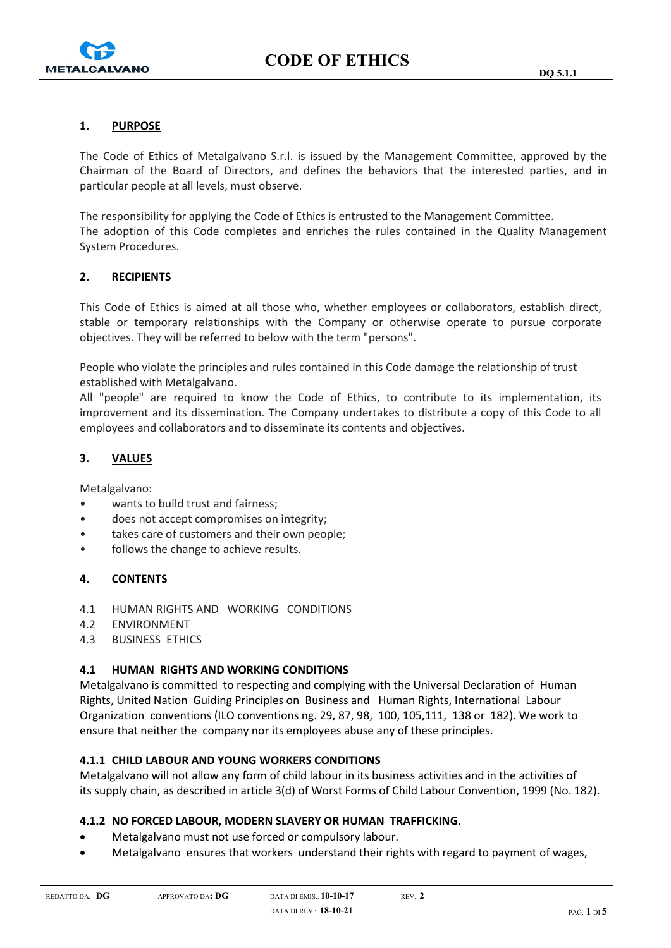

## 1. PURPOSE

The Code of Ethics of Metalgalvano S.r.l. is issued by the Management Committee, approved by the Chairman of the Board of Directors, and defines the behaviors that the interested parties, and in particular people at all levels, must observe.

The responsibility for applying the Code of Ethics is entrusted to the Management Committee. The adoption of this Code completes and enriches the rules contained in the Quality Management System Procedures.

# 2. RECIPIENTS

This Code of Ethics is aimed at all those who, whether employees or collaborators, establish direct, stable or temporary relationships with the Company or otherwise operate to pursue corporate objectives. They will be referred to below with the term "persons".

People who violate the principles and rules contained in this Code damage the relationship of trust established with Metalgalvano.

All "people" are required to know the Code of Ethics, to contribute to its implementation, its improvement and its dissemination. The Company undertakes to distribute a copy of this Code to all employees and collaborators and to disseminate its contents and objectives.

## 3. VALUES

Metalgalvano:

- wants to build trust and fairness;
- does not accept compromises on integrity;
- takes care of customers and their own people;
- follows the change to achieve results.

# 4. CONTENTS

- 4.1 HUMAN RIGHTS AND WORKING CONDITIONS
- 4.2 ENVIRONMENT
- 4.3 BUSINESS ETHICS

## 4.1 HUMAN RIGHTS AND WORKING CONDITIONS

Metalgalvano is committed to respecting and complying with the Universal Declaration of Human Rights, United Nation Guiding Principles on Business and Human Rights, International Labour Organization conventions (ILO conventions ng. 29, 87, 98, 100, 105,111, 138 or 182). We work to ensure that neither the company nor its employees abuse any of these principles.

## 4.1.1 CHILD LABOUR AND YOUNG WORKERS CONDITIONS

Metalgalvano will not allow any form of child labour in its business activities and in the activities of its supply chain, as described in article 3(d) of Worst Forms of Child Labour Convention, 1999 (No. 182).

# 4.1.2 NO FORCED LABOUR, MODERN SLAVERY OR HUMAN TRAFFICKING.

- Metalgalvano must not use forced or compulsory labour.
- Metalgalvano ensures that workers understand their rights with regard to payment of wages,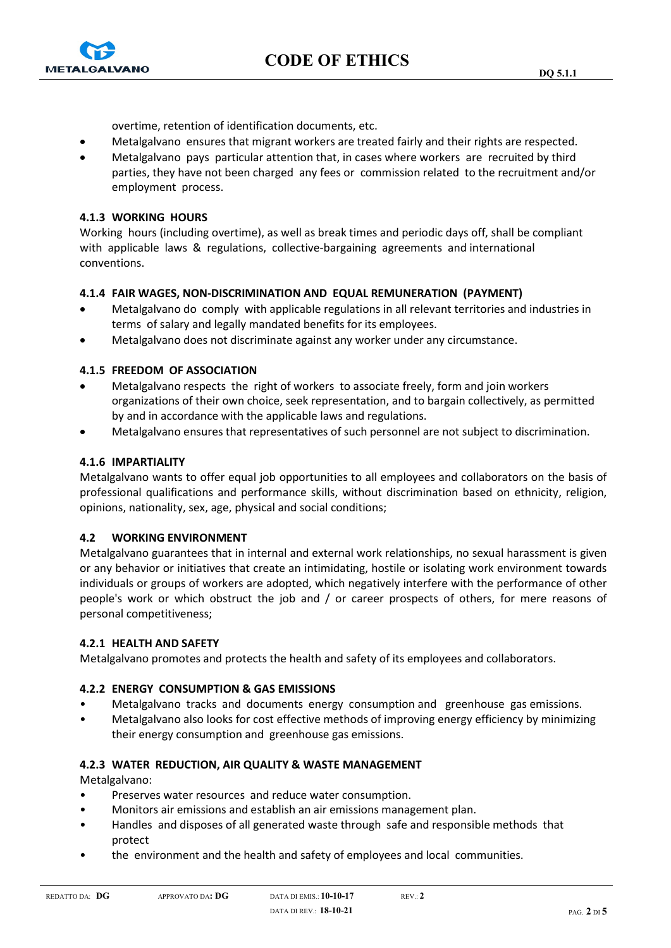

overtime, retention of identification documents, etc.

- Metalgalvano ensures that migrant workers are treated fairly and their rights are respected.
- Metalgalvano pays particular attention that, in cases where workers are recruited by third parties, they have not been charged any fees or commission related to the recruitment and/or employment process.

## 4.1.3 WORKING HOURS

Working hours (including overtime), as well as break times and periodic days off, shall be compliant with applicable laws & regulations, collective-bargaining agreements and international conventions.

## 4.1.4 FAIR WAGES, NON-DISCRIMINATION AND EQUAL REMUNERATION (PAYMENT)

- Metalgalvano do comply with applicable regulations in all relevant territories and industries in terms of salary and legally mandated benefits for its employees.
- Metalgalvano does not discriminate against any worker under any circumstance.

## 4.1.5 FREEDOM OF ASSOCIATION

- Metalgalvano respects the right of workers to associate freely, form and join workers organizations of their own choice, seek representation, and to bargain collectively, as permitted by and in accordance with the applicable laws and regulations.
- Metalgalvano ensures that representatives of such personnel are not subject to discrimination.

## 4.1.6 IMPARTIALITY

Metalgalvano wants to offer equal job opportunities to all employees and collaborators on the basis of professional qualifications and performance skills, without discrimination based on ethnicity, religion, opinions, nationality, sex, age, physical and social conditions;

## 4.2 WORKING ENVIRONMENT

Metalgalvano guarantees that in internal and external work relationships, no sexual harassment is given or any behavior or initiatives that create an intimidating, hostile or isolating work environment towards individuals or groups of workers are adopted, which negatively interfere with the performance of other people's work or which obstruct the job and / or career prospects of others, for mere reasons of personal competitiveness;

## 4.2.1 HEALTH AND SAFETY

Metalgalvano promotes and protects the health and safety of its employees and collaborators.

## 4.2.2 ENERGY CONSUMPTION & GAS EMISSIONS

- Metalgalvano tracks and documents energy consumption and greenhouse gas emissions.
- Metalgalvano also looks for cost effective methods of improving energy efficiency by minimizing their energy consumption and greenhouse gas emissions.

## 4.2.3 WATER REDUCTION, AIR QUALITY & WASTE MANAGEMENT

Metalgalvano:

- Preserves water resources and reduce water consumption.
- Monitors air emissions and establish an air emissions management plan.
- Handles and disposes of all generated waste through safe and responsible methods that protect
- the environment and the health and safety of employees and local communities.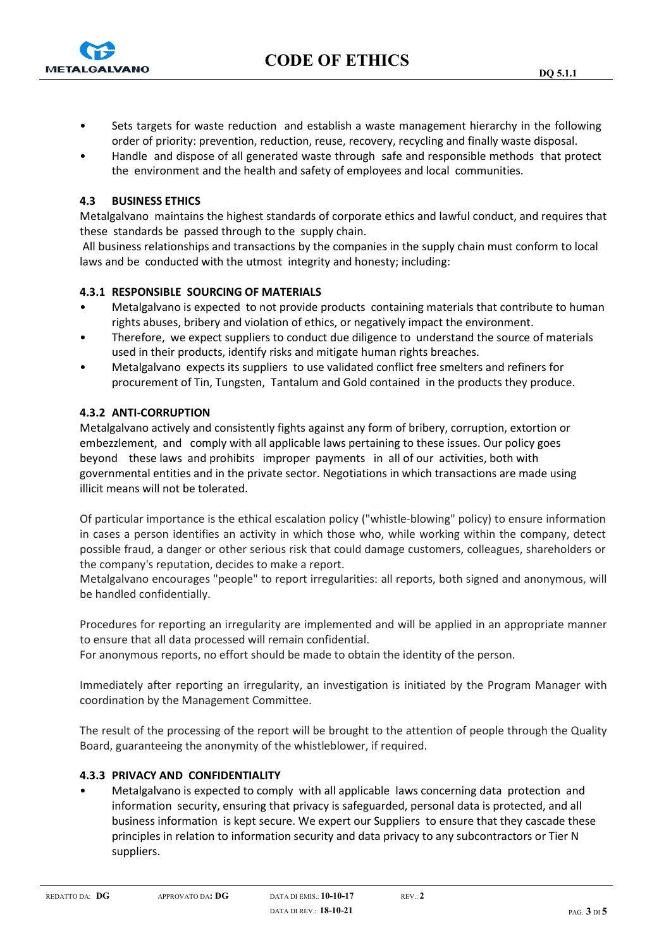



- Sets targets for waste reduction and establish a waste management hierarchy in the following order of priority: prevention, reduction, reuse, recovery, recycling and finally waste disposal.
- Handle and dispose of all generated waste through safe and responsible methods that protect the environment and the health and safety of employees and local communities.

## 4.3 BUSINESS ETHICS

Metalgalvano maintains the highest standards of corporate ethics and lawful conduct, and requires that these standards be passed through to the supply chain.

 All business relationships and transactions by the companies in the supply chain must conform to local laws and be conducted with the utmost integrity and honesty; including:

## 4.3.1 RESPONSIBLE SOURCING OF MATERIALS

- Metalgalvano is expected to not provide products containing materials that contribute to human rights abuses, bribery and violation of ethics, or negatively impact the environment.
- Therefore, we expect suppliers to conduct due diligence to understand the source of materials used in their products, identify risks and mitigate human rights breaches.
- Metalgalvano expects its suppliers to use validated conflict free smelters and refiners for procurement of Tin, Tungsten, Tantalum and Gold contained in the products they produce.

## 4.3.2 ANTI-CORRUPTION

Metalgalvano actively and consistently fights against any form of bribery, corruption, extortion or embezzlement, and comply with all applicable laws pertaining to these issues. Our policy goes beyond these laws and prohibits improper payments in all of our activities, both with governmental entities and in the private sector. Negotiations in which transactions are made using illicit means will not be tolerated.

Of particular importance is the ethical escalation policy ("whistle-blowing" policy) to ensure information in cases a person identifies an activity in which those who, while working within the company, detect possible fraud, a danger or other serious risk that could damage customers, colleagues, shareholders or the company's reputation, decides to make a report.

Metalgalvano encourages "people" to report irregularities: all reports, both signed and anonymous, will be handled confidentially.

Procedures for reporting an irregularity are implemented and will be applied in an appropriate manner to ensure that all data processed will remain confidential.

For anonymous reports, no effort should be made to obtain the identity of the person.

Immediately after reporting an irregularity, an investigation is initiated by the Program Manager with coordination by the Management Committee.

The result of the processing of the report will be brought to the attention of people through the Quality Board, guaranteeing the anonymity of the whistleblower, if required.

## 4.3.3 PRIVACY AND CONFIDENTIALITY

• Metalgalvano is expected to comply with all applicable laws concerning data protection and information security, ensuring that privacy is safeguarded, personal data is protected, and all business information is kept secure. We expert our Suppliers to ensure that they cascade these principles in relation to information security and data privacy to any subcontractors or Tier N suppliers.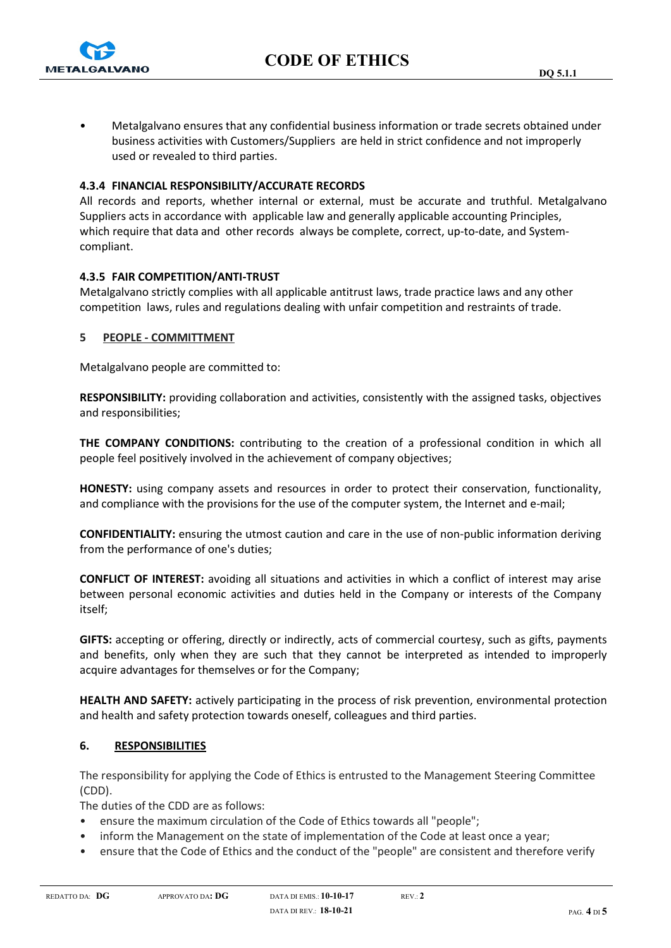

• Metalgalvano ensures that any confidential business information or trade secrets obtained under business activities with Customers/Suppliers are held in strict confidence and not improperly used or revealed to third parties.

## 4.3.4 FINANCIAL RESPONSIBILITY/ACCURATE RECORDS

All records and reports, whether internal or external, must be accurate and truthful. Metalgalvano Suppliers acts in accordance with applicable law and generally applicable accounting Principles, which require that data and other records always be complete, correct, up-to-date, and Systemcompliant.

#### 4.3.5 FAIR COMPETITION/ANTI-TRUST

Metalgalvano strictly complies with all applicable antitrust laws, trade practice laws and any other competition laws, rules and regulations dealing with unfair competition and restraints of trade.

#### 5 PEOPLE - COMMITTMENT

Metalgalvano people are committed to:

RESPONSIBILITY: providing collaboration and activities, consistently with the assigned tasks, objectives and responsibilities;

THE COMPANY CONDITIONS: contributing to the creation of a professional condition in which all people feel positively involved in the achievement of company objectives;

HONESTY: using company assets and resources in order to protect their conservation, functionality, and compliance with the provisions for the use of the computer system, the Internet and e-mail;

CONFIDENTIALITY: ensuring the utmost caution and care in the use of non-public information deriving from the performance of one's duties;

CONFLICT OF INTEREST: avoiding all situations and activities in which a conflict of interest may arise between personal economic activities and duties held in the Company or interests of the Company itself;

GIFTS: accepting or offering, directly or indirectly, acts of commercial courtesy, such as gifts, payments and benefits, only when they are such that they cannot be interpreted as intended to improperly acquire advantages for themselves or for the Company;

HEALTH AND SAFETY: actively participating in the process of risk prevention, environmental protection and health and safety protection towards oneself, colleagues and third parties.

## 6. RESPONSIBILITIES

The responsibility for applying the Code of Ethics is entrusted to the Management Steering Committee (CDD).

The duties of the CDD are as follows:

- ensure the maximum circulation of the Code of Ethics towards all "people";
- inform the Management on the state of implementation of the Code at least once a year;
- ensure that the Code of Ethics and the conduct of the "people" are consistent and therefore verify